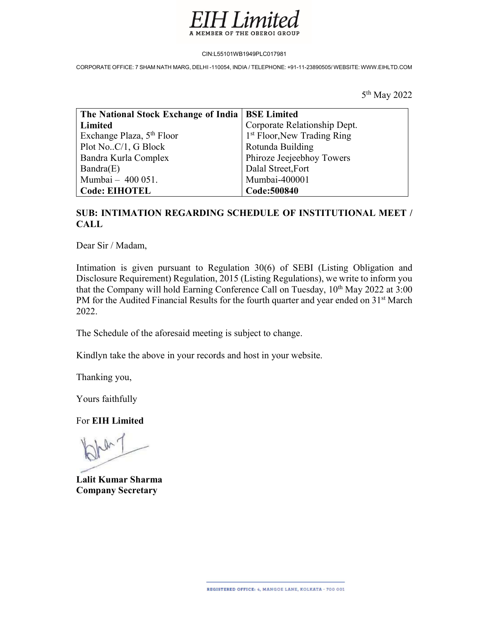

CIN:L55101WB1949PLC017981

CORPORATE OFFICE: 7 SHAM NATH MARG, DELHI -110054, INDIA / TELEPHONE: +91-11-23890505/ WEBSITE: WWW.EIHLTD.COM

5 th May 2022

| The National Stock Exchange of India   BSE Limited |                                         |
|----------------------------------------------------|-----------------------------------------|
| Limited                                            | Corporate Relationship Dept.            |
| Exchange Plaza, 5 <sup>th</sup> Floor              | 1 <sup>st</sup> Floor, New Trading Ring |
| Plot NoC/1, G Block                                | Rotunda Building                        |
| Bandra Kurla Complex                               | Phiroze Jeejeebhoy Towers               |
| Bandra(E)                                          | Dalal Street, Fort                      |
| Mumbai - 400 051.                                  | Mumbai-400001                           |
| <b>Code: EIHOTEL</b>                               | Code:500840                             |

## SUB: INTIMATION REGARDING SCHEDULE OF INSTITUTIONAL MEET / CALL

Dear Sir / Madam,

Intimation is given pursuant to Regulation 30(6) of SEBI (Listing Obligation and Disclosure Requirement) Regulation, 2015 (Listing Regulations), we write to inform you that the Company will hold Earning Conference Call on Tuesday,  $10<sup>th</sup>$  May 2022 at  $3:00$ PM for the Audited Financial Results for the fourth quarter and year ended on 31<sup>st</sup> March 2022.

The Schedule of the aforesaid meeting is subject to change.

Kindlyn take the above in your records and host in your website.

Thanking you,

Yours faithfully

For EIH Limited

Lalit Kumar Sharma Company Secretary